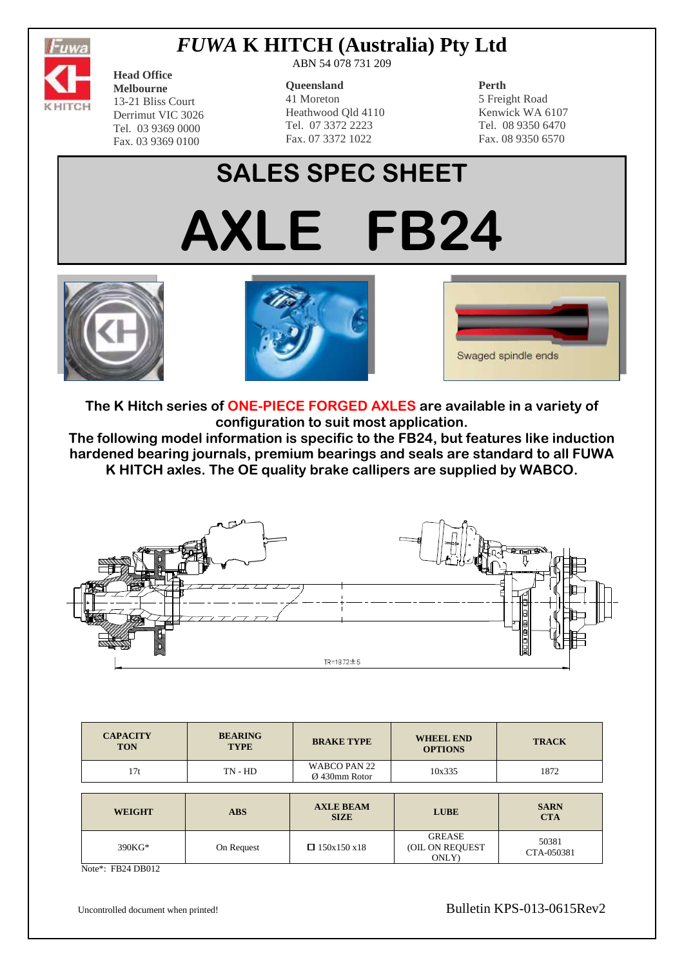

## *FUWA* **K HITCH (Australia) Pty Ltd**

**Head Office Melbourne** 13-21 Bliss Court Derrimut VIC 3026 Tel. 03 9369 0000 Fax. 03 9369 0100

ABN 54 078 731 209

#### **Queensland**

41 Moreton Heathwood Qld 4110 Tel. 07 3372 2223 Fax. 07 3372 1022

### **Perth**

5 Freight Road Kenwick WA 6107 Tel. 08 9350 6470 Fax. 08 9350 6570

# **SALES SPEC SHEET AXLE FB24**







**The K Hitch series of ONE-PIECE FORGED AXLES are available in a variety of configuration to suit most application.**

**The following model information is specific to the FB24, but features like induction hardened bearing journals, premium bearings and seals are standard to all FUWA K HITCH axles. The OE quality brake callipers are supplied by WABCO.**



| <b>CAPACITY</b><br><b>TON</b> | <b>BEARING</b><br><b>TYPE</b> | <b>BRAKE TYPE</b>                       | <b>WHEEL END</b><br><b>OPTIONS</b> | <b>TRACK</b>              |  |  |
|-------------------------------|-------------------------------|-----------------------------------------|------------------------------------|---------------------------|--|--|
| 17t                           | $TN - HD$                     | WABCO PAN 22<br>$\emptyset$ 430mm Rotor | 10x335                             | 1872                      |  |  |
|                               |                               |                                         |                                    |                           |  |  |
|                               |                               |                                         |                                    |                           |  |  |
| <b>WEIGHT</b>                 | <b>ABS</b>                    | <b>AXLE BEAM</b><br><b>SIZE</b>         | <b>LUBE</b>                        | <b>SARN</b><br><b>CTA</b> |  |  |

Note\*: FB24 DB012

Uncontrolled document when printed! Bulletin KPS-013-0615Rev2